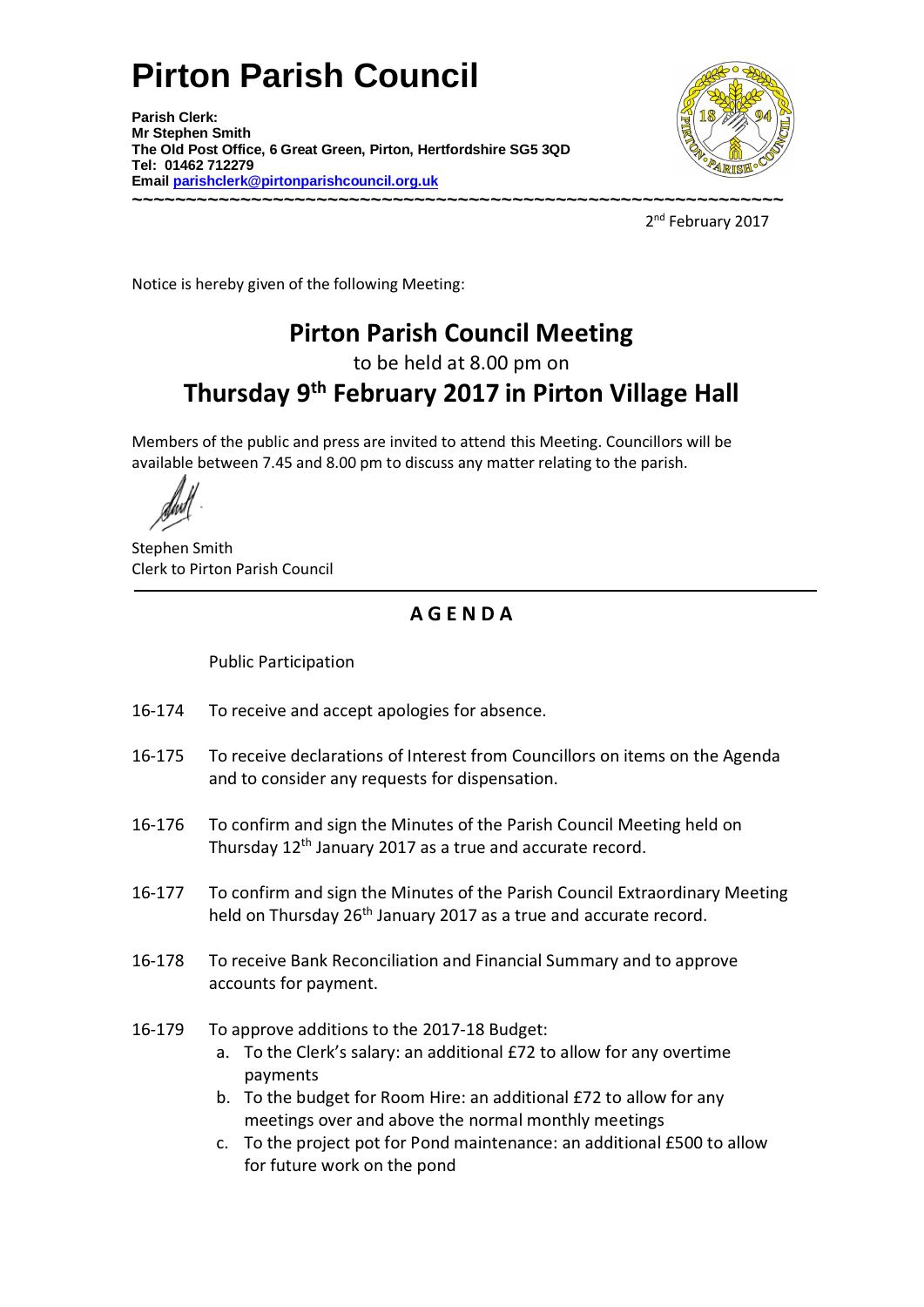# **Pirton Parish Council**

**Parish Clerk: Mr Stephen Smith The Old Post Office, 6 Great Green, Pirton, Hertfordshire SG5 3QD Tel: 01462 712279 Email parishclerk@pirtonparishcouncil.org.uk ~~~~~~~~~~~~~~~~~~~~~~~~~~~~~~~~~~~~~~~~~~~~~~~~~~~~~~~~~~~~** 



2<sup>nd</sup> February 2017

Notice is hereby given of the following Meeting:

## **Pirton Parish Council Meeting**

to be held at 8.00 pm on

## **Thursday 9th February 2017 in Pirton Village Hall**

Members of the public and press are invited to attend this Meeting. Councillors will be available between 7.45 and 8.00 pm to discuss any matter relating to the parish.

Stephen Smith Clerk to Pirton Parish Council

#### **A G E N D A**

Public Participation

- 16-174 To receive and accept apologies for absence.
- 16175 To receive declarations of Interest from Councillors on items on the Agenda and to consider any requests for dispensation.
- 16176 To confirm and sign the Minutes of the Parish Council Meeting held on Thursday 12<sup>th</sup> January 2017 as a true and accurate record.
- 16177 To confirm and sign the Minutes of the Parish Council Extraordinary Meeting held on Thursday 26<sup>th</sup> January 2017 as a true and accurate record.
- 16178 To receive Bank Reconciliation and Financial Summary and to approve accounts for payment.
- 16-179 To approve additions to the 2017-18 Budget:
	- a. To the Clerk's salary: an additional £72 to allow for any overtime payments
	- b. To the budget for Room Hire: an additional £72 to allow for any meetings over and above the normal monthly meetings
	- c. To the project pot for Pond maintenance: an additional £500 to allow for future work on the pond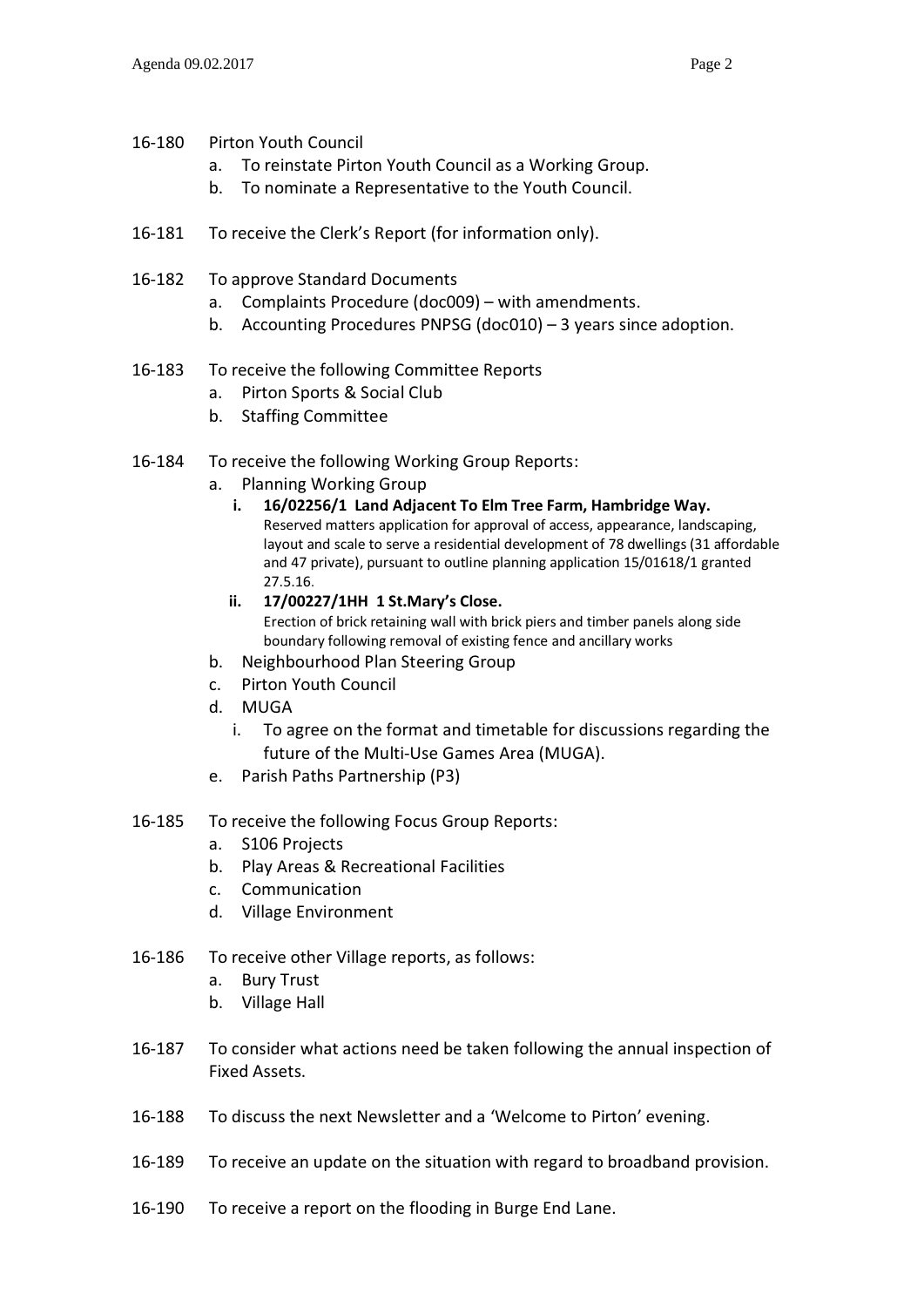- 16-180 Pirton Youth Council
	- a. To reinstate Pirton Youth Council as a Working Group.
	- b. To nominate a Representative to the Youth Council.
- 16-181 To receive the Clerk's Report (for information only).
- 16-182 To approve Standard Documents
	- a. Complaints Procedure (doc009) with amendments.
	- b. Accounting Procedures PNPSG (doc010) 3 years since adoption.
- 16-183 To receive the following Committee Reports
	- a. Pirton Sports & Social Club
	- b. Staffing Committee
- 16-184 To receive the following Working Group Reports:
	- a. Planning Working Group
		- i. 16/02256/1 Land Adjacent To Elm Tree Farm, Hambridge Way. Reserved matters application for approval of access, appearance, landscaping, layout and scale to serve a residential development of 78 dwellings (31 affordable and 47 private), pursuant to outline planning application 15/01618/1 granted 27.5.16.
		- ii. 17/00227/1HH 1 St.Mary's Close. Erection of brick retaining wall with brick piers and timber panels along side boundary following removal of existing fence and ancillary works
	- b. Neighbourhood Plan Steering Group
	- c. Pirton Youth Council
	- d. MUGA
		- i. To agree on the format and timetable for discussions regarding the future of the Multi-Use Games Area (MUGA).
	- e. Parish Paths Partnership (P3)
- 16-185 To receive the following Focus Group Reports:
	- a. S106 Projects
	- b. Play Areas & Recreational Facilities
	- c. Communication
	- d. Village Environment
- 16-186 To receive other Village reports, as follows:
	- a. Bury Trust
	- b. Village Hall
- 16187 To consider what actions need be taken following the annual inspection of Fixed Assets.
- 16-188 To discuss the next Newsletter and a 'Welcome to Pirton' evening.
- 16189 To receive an update on the situation with regard to broadband provision.
- 16-190 To receive a report on the flooding in Burge End Lane.